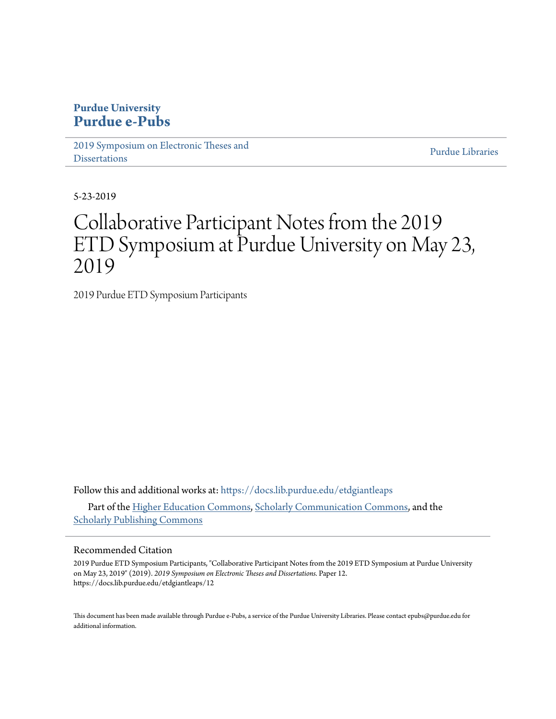#### **Purdue University [Purdue e-Pubs](https://docs.lib.purdue.edu?utm_source=docs.lib.purdue.edu%2Fetdgiantleaps%2F12&utm_medium=PDF&utm_campaign=PDFCoverPages)**

[2019 Symposium on Electronic Theses and](https://docs.lib.purdue.edu/etdgiantleaps?utm_source=docs.lib.purdue.edu%2Fetdgiantleaps%2F12&utm_medium=PDF&utm_campaign=PDFCoverPages) **[Dissertations](https://docs.lib.purdue.edu/etdgiantleaps?utm_source=docs.lib.purdue.edu%2Fetdgiantleaps%2F12&utm_medium=PDF&utm_campaign=PDFCoverPages)** 

[Purdue Libraries](https://docs.lib.purdue.edu/libraries?utm_source=docs.lib.purdue.edu%2Fetdgiantleaps%2F12&utm_medium=PDF&utm_campaign=PDFCoverPages)

5-23-2019

# Collaborative Participant Notes from the 2019 ETD Symposium at Purdue University on May 23, 2019

2019 Purdue ETD Symposium Participants

Follow this and additional works at: [https://docs.lib.purdue.edu/etdgiantleaps](https://docs.lib.purdue.edu/etdgiantleaps?utm_source=docs.lib.purdue.edu%2Fetdgiantleaps%2F12&utm_medium=PDF&utm_campaign=PDFCoverPages) Part of the [Higher Education Commons](http://network.bepress.com/hgg/discipline/1245?utm_source=docs.lib.purdue.edu%2Fetdgiantleaps%2F12&utm_medium=PDF&utm_campaign=PDFCoverPages), [Scholarly Communication Commons](http://network.bepress.com/hgg/discipline/1272?utm_source=docs.lib.purdue.edu%2Fetdgiantleaps%2F12&utm_medium=PDF&utm_campaign=PDFCoverPages), and the [Scholarly Publishing Commons](http://network.bepress.com/hgg/discipline/1273?utm_source=docs.lib.purdue.edu%2Fetdgiantleaps%2F12&utm_medium=PDF&utm_campaign=PDFCoverPages)

#### Recommended Citation

2019 Purdue ETD Symposium Participants, "Collaborative Participant Notes from the 2019 ETD Symposium at Purdue University on May 23, 2019" (2019). *2019 Symposium on Electronic Theses and Dissertations.* Paper 12. https://docs.lib.purdue.edu/etdgiantleaps/12

This document has been made available through Purdue e-Pubs, a service of the Purdue University Libraries. Please contact epubs@purdue.edu for additional information.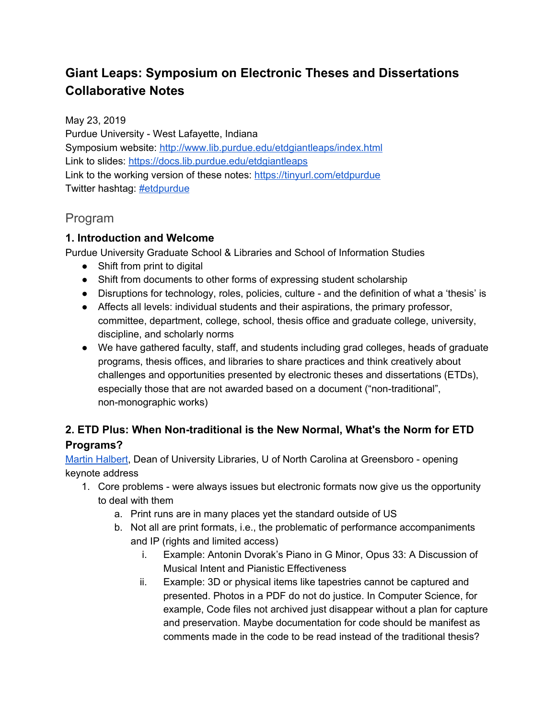## **Giant Leaps: Symposium on Electronic Theses and Dissertations Collaborative Notes**

May 23, 2019 Purdue University - West Lafayette, Indiana Symposium website: <http://www.lib.purdue.edu/etdgiantleaps/index.html> Link to slides: <https://docs.lib.purdue.edu/etdgiantleaps> Link to the working version of these notes: <https://tinyurl.com/etdpurdue> Twitter hashtag: [#etdpurdue](https://twitter.com/search?q=%23etdpurdue)

### Program

#### **1. Introduction and Welcome**

Purdue University Graduate School & Libraries and School of Information Studies

- Shift from print to digital
- Shift from documents to other forms of expressing student scholarship
- Disruptions for technology, roles, policies, culture and the definition of what a 'thesis' is
- Affects all levels: individual students and their aspirations, the primary professor, committee, department, college, school, thesis office and graduate college, university, discipline, and scholarly norms
- We have gathered faculty, staff, and students including grad colleges, heads of graduate programs, thesis offices, and libraries to share practices and think creatively about challenges and opportunities presented by electronic theses and dissertations (ETDs), especially those that are not awarded based on a document ("non-traditional", non-monographic works)

#### **2. ETD Plus: When Non-traditional is the New Normal, What's the Norm for ETD Programs?**

Martin [Halbert](http://www.digitalpreservation.gov/series/pioneers/halbert.html), Dean of University Libraries, U of North Carolina at Greensboro - opening keynote address

- 1. Core problems were always issues but electronic formats now give us the opportunity to deal with them
	- a. Print runs are in many places yet the standard outside of US
	- b. Not all are print formats, i.e., the problematic of performance accompaniments and IP (rights and limited access)
		- i. Example: Antonin Dvorak's Piano in G Minor, Opus 33: A Discussion of Musical Intent and Pianistic Effectiveness
		- ii. Example: 3D or physical items like tapestries cannot be captured and presented. Photos in a PDF do not do justice. In Computer Science, for example, Code files not archived just disappear without a plan for capture and preservation. Maybe documentation for code should be manifest as comments made in the code to be read instead of the traditional thesis?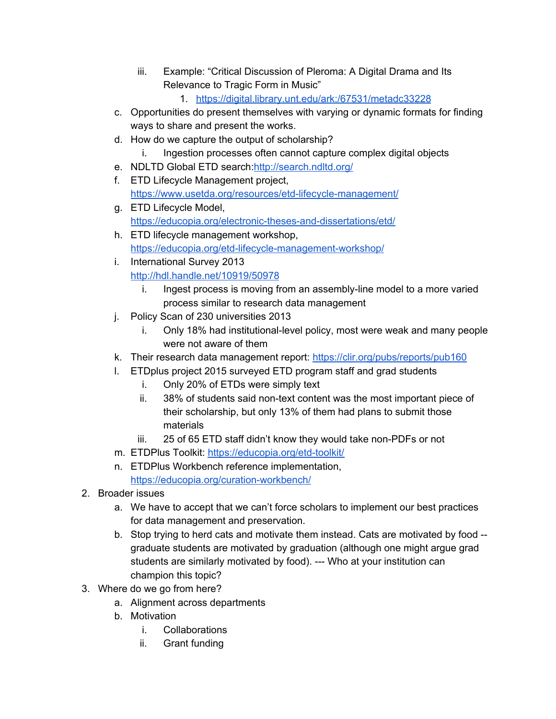- iii. Example: "Critical Discussion of Pleroma: A Digital Drama and Its Relevance to Tragic Form in Music"
	- 1. <https://digital.library.unt.edu/ark:/67531/metadc33228>
- c. Opportunities do present themselves with varying or dynamic formats for finding ways to share and present the works.
- d. How do we capture the output of scholarship?
	- i. Ingestion processes often cannot capture complex digital objects
- e. NDLTD Global ETD search:<http://search.ndltd.org/>
- f. ETD Lifecycle Management project, <https://www.usetda.org/resources/etd-lifecycle-management/>
- g. ETD Lifecycle Model, <https://educopia.org/electronic-theses-and-dissertations/etd/>
- h. ETD lifecycle management workshop, <https://educopia.org/etd-lifecycle-management-workshop/>
- i. International Survey 2013 <http://hdl.handle.net/10919/50978>
	- i. Ingest process is moving from an assembly-line model to a more varied process similar to research data management
- j. Policy Scan of 230 universities 2013
	- i. Only 18% had institutional-level policy, most were weak and many people were not aware of them
- k. Their research data management report: <https://clir.org/pubs/reports/pub160>
- l. ETDplus project 2015 surveyed ETD program staff and grad students
	- i. Only 20% of ETDs were simply text
	- ii. 38% of students said non-text content was the most important piece of their scholarship, but only 13% of them had plans to submit those materials
	- iii. 25 of 65 ETD staff didn't know they would take non-PDFs or not
- m. ETDPlus Toolkit: <https://educopia.org/etd-toolkit/>
- n. ETDPlus Workbench reference implementation, <https://educopia.org/curation-workbench/>
- 2. Broader issues
	- a. We have to accept that we can't force scholars to implement our best practices for data management and preservation.
	- b. Stop trying to herd cats and motivate them instead. Cats are motivated by food graduate students are motivated by graduation (although one might argue grad students are similarly motivated by food). --- Who at your institution can champion this topic?
- 3. Where do we go from here?
	- a. Alignment across departments
	- b. Motivation
		- i. Collaborations
		- ii. Grant funding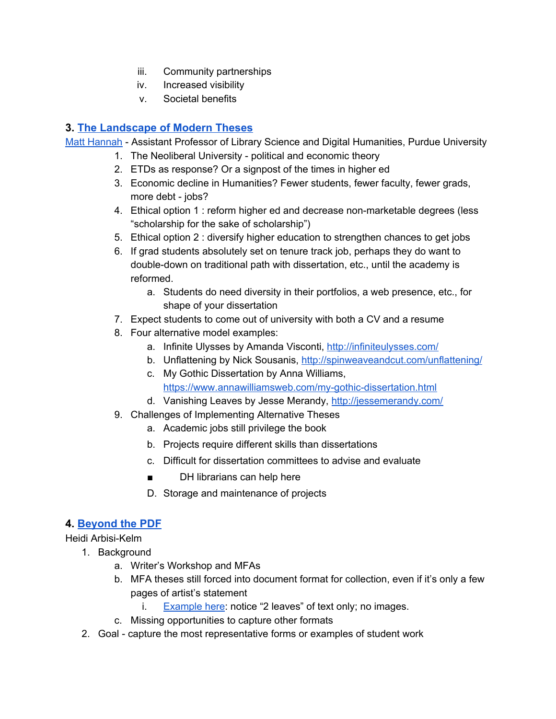- iii. Community partnerships
- iv. Increased visibility
- v. Societal benefits

#### **3. [The Landscape of Modern Theses](https://docs.lib.purdue.edu/etdgiantleaps/3/)**

Matt [Hannah](https://chroniclevitae.com/people/212074-matthew-hannah/profile) - Assistant Professor of Library Science and Digital Humanities, Purdue University

- 1. The Neoliberal University political and economic theory
- 2. ETDs as response? Or a signpost of the times in higher ed
- 3. Economic decline in Humanities? Fewer students, fewer faculty, fewer grads, more debt - jobs?
- 4. Ethical option 1 : reform higher ed and decrease non-marketable degrees (less "scholarship for the sake of scholarship")
- 5. Ethical option 2 : diversify higher education to strengthen chances to get jobs
- 6. If grad students absolutely set on tenure track job, perhaps they do want to double-down on traditional path with dissertation, etc., until the academy is reformed.
	- a. Students do need diversity in their portfolios, a web presence, etc., for shape of your dissertation
- 7. Expect students to come out of university with both a CV and a resume
- 8. Four alternative model examples:
	- a. Infinite Ulysses by Amanda Visconti, <http://infiniteulysses.com/>
	- b. Unflattening by Nick Sousanis, <http://spinweaveandcut.com/unflattening/>
	- c. My Gothic Dissertation by Anna Williams, <https://www.annawilliamsweb.com/my-gothic-dissertation.html>
	- d. Vanishing Leaves by Jesse Merandy, <http://jessemerandy.com/>
- 9. Challenges of Implementing Alternative Theses
	- a. Academic jobs still privilege the book
	- b. Projects require different skills than dissertations
	- c. Difficult for dissertation committees to advise and evaluate
	- DH librarians can help here
	- D. Storage and maintenance of projects

#### **4. [Beyond the PDF](https://docs.lib.purdue.edu/etdgiantleaps/4/)**

Heidi Arbisi-Kelm

- 1. Background
	- a. Writer's Workshop and MFAs
	- b. MFA theses still forced into document format for collection, even if it's only a few pages of artist's statement
		- i. [Example](https://search.lib.uiowa.edu/primo-explore/fulldisplay?docid=01IOWA_ALMA21569562080002771&context=L&vid=01IOWA&search_scope=default_scope&tab=default_tab&lang=en_US) here: notice "2 leaves" of text only; no images.
	- c. Missing opportunities to capture other formats
	- 2. Goal capture the most representative forms or examples of student work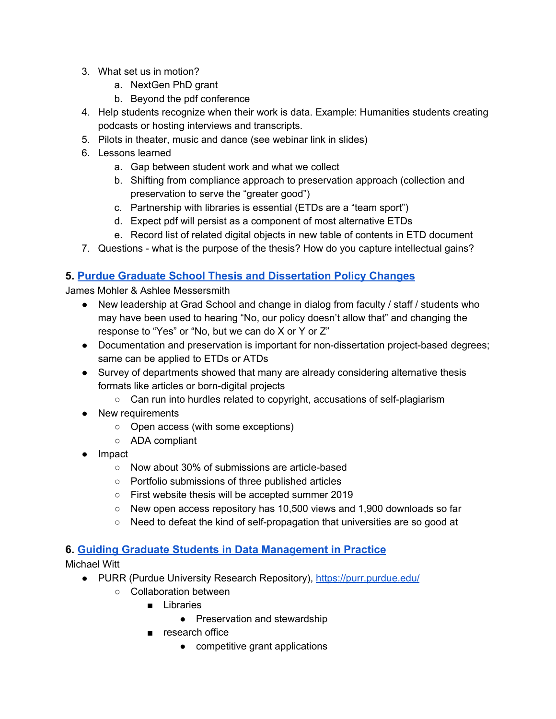- 3. What set us in motion?
	- a. NextGen PhD grant
	- b. Beyond the pdf conference
- 4. Help students recognize when their work is data. Example: Humanities students creating podcasts or hosting interviews and transcripts.
- 5. Pilots in theater, music and dance (see webinar link in slides)
- 6. Lessons learned
	- a. Gap between student work and what we collect
	- b. Shifting from compliance approach to preservation approach (collection and preservation to serve the "greater good")
	- c. Partnership with libraries is essential (ETDs are a "team sport")
	- d. Expect pdf will persist as a component of most alternative ETDs
	- e. Record list of related digital objects in new table of contents in ETD document
- 7. Questions what is the purpose of the thesis? How do you capture intellectual gains?

#### **5. [Purdue Graduate School Thesis and Dissertation Policy Changes](https://docs.lib.purdue.edu/etdgiantleaps/8/)**

James Mohler & Ashlee Messersmith

- New leadership at Grad School and change in dialog from faculty / staff / students who may have been used to hearing "No, our policy doesn't allow that" and changing the response to "Yes" or "No, but we can do X or Y or Z"
- Documentation and preservation is important for non-dissertation project-based degrees; same can be applied to ETDs or ATDs
- Survey of departments showed that many are already considering alternative thesis formats like articles or born-digital projects
	- Can run into hurdles related to copyright, accusations of self-plagiarism
- New requirements
	- Open access (with some exceptions)
	- ADA compliant
- Impact
	- Now about 30% of submissions are article-based
	- Portfolio submissions of three published articles
	- First website thesis will be accepted summer 2019
	- New open access repository has 10,500 views and 1,900 downloads so far
	- Need to defeat the kind of self-propagation that universities are so good at

#### **6. [Guiding Graduate Students in Data Management in Practice](https://docs.lib.purdue.edu/etdgiantleaps/1/)**

Michael Witt

- PURR (Purdue University Research Repository), <https://purr.purdue.edu/>
	- Collaboration between
		- Libraries
			- Preservation and stewardship
		- research office
			- competitive grant applications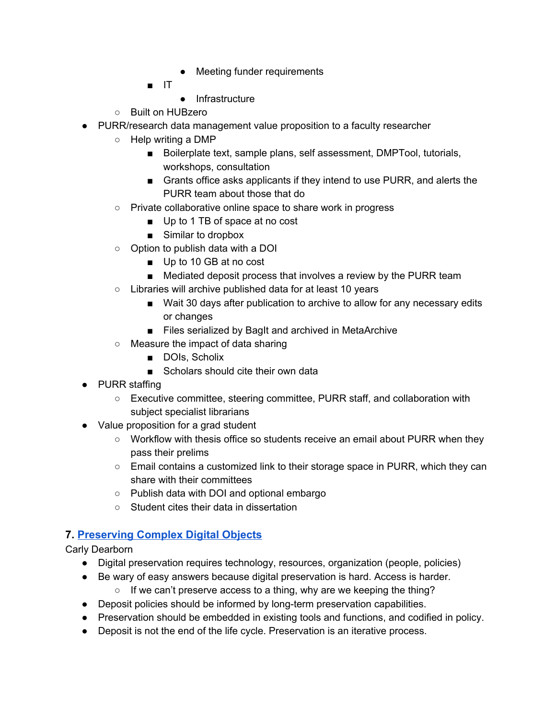- Meeting funder requirements
- IT
	- Infrastructure
- Built on HUBzero
- PURR/research data management value proposition to a faculty researcher
	- Help writing a DMP
		- Boilerplate text, sample plans, self assessment, DMPTool, tutorials, workshops, consultation
		- Grants office asks applicants if they intend to use PURR, and alerts the PURR team about those that do
	- Private collaborative online space to share work in progress
		- Up to 1 TB of space at no cost
		- Similar to dropbox
	- Option to publish data with a DOI
		- Up to 10 GB at no cost
		- Mediated deposit process that involves a review by the PURR team
	- Libraries will archive published data for at least 10 years
		- Wait 30 days after publication to archive to allow for any necessary edits or changes
		- Files serialized by BagIt and archived in MetaArchive
	- Measure the impact of data sharing
		- DOIs, Scholix
		- Scholars should cite their own data
- PURR staffing
	- Executive committee, steering committee, PURR staff, and collaboration with subject specialist librarians
- Value proposition for a grad student
	- Workflow with thesis office so students receive an email about PURR when they pass their prelims
	- $\circ$  Email contains a customized link to their storage space in PURR, which they can share with their committees
	- Publish data with DOI and optional embargo
	- Student cites their data in dissertation

#### **7. [Preserving Complex Digital Objects](https://docs.lib.purdue.edu/etdgiantleaps/2/)**

Carly Dearborn

- Digital preservation requires technology, resources, organization (people, policies)
- Be wary of easy answers because digital preservation is hard. Access is harder.
	- If we can't preserve access to a thing, why are we keeping the thing?
- Deposit policies should be informed by long-term preservation capabilities.
- Preservation should be embedded in existing tools and functions, and codified in policy.
- Deposit is not the end of the life cycle. Preservation is an iterative process.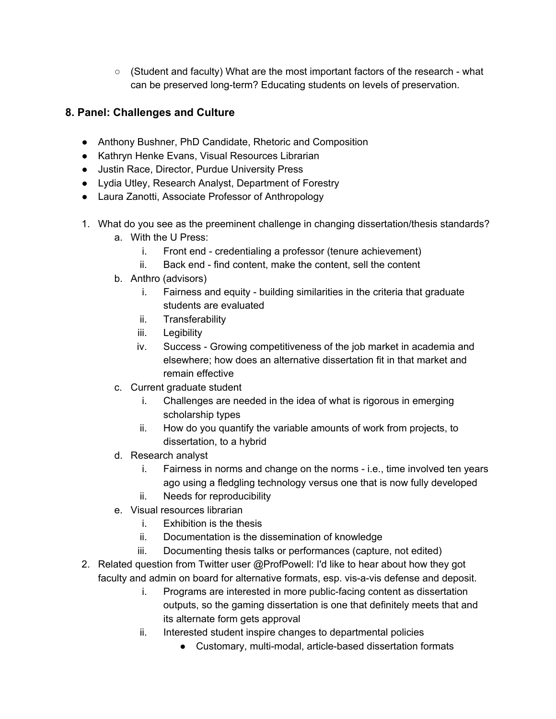$\circ$  (Student and faculty) What are the most important factors of the research - what can be preserved long-term? Educating students on levels of preservation.

#### **8. Panel: Challenges and Culture**

- Anthony Bushner, PhD Candidate, Rhetoric and Composition
- Kathryn Henke Evans, Visual Resources Librarian
- Justin Race, Director, Purdue University Press
- Lydia Utley, Research Analyst, Department of Forestry
- Laura Zanotti, Associate Professor of Anthropology
- 1. What do you see as the preeminent challenge in changing dissertation/thesis standards?
	- a. With the U Press:
		- i. Front end credentialing a professor (tenure achievement)
		- ii. Back end find content, make the content, sell the content
	- b. Anthro (advisors)
		- i. Fairness and equity building similarities in the criteria that graduate students are evaluated
		- ii. Transferability
		- iii. Legibility
		- iv. Success Growing competitiveness of the job market in academia and elsewhere; how does an alternative dissertation fit in that market and remain effective
	- c. Current graduate student
		- i. Challenges are needed in the idea of what is rigorous in emerging scholarship types
		- ii. How do you quantify the variable amounts of work from projects, to dissertation, to a hybrid
	- d. Research analyst
		- i. Fairness in norms and change on the norms i.e., time involved ten years ago using a fledgling technology versus one that is now fully developed
		- ii. Needs for reproducibility
	- e. Visual resources librarian
		- i. Exhibition is the thesis
		- ii. Documentation is the dissemination of knowledge
		- iii. Documenting thesis talks or performances (capture, not edited)
- 2. Related question from Twitter user @ProfPowell: I'd like to hear about how they got faculty and admin on board for alternative formats, esp. vis-a-vis defense and deposit.
	- i. Programs are interested in more public-facing content as dissertation outputs, so the gaming dissertation is one that definitely meets that and its alternate form gets approval
	- ii. Interested student inspire changes to departmental policies
		- Customary, multi-modal, article-based dissertation formats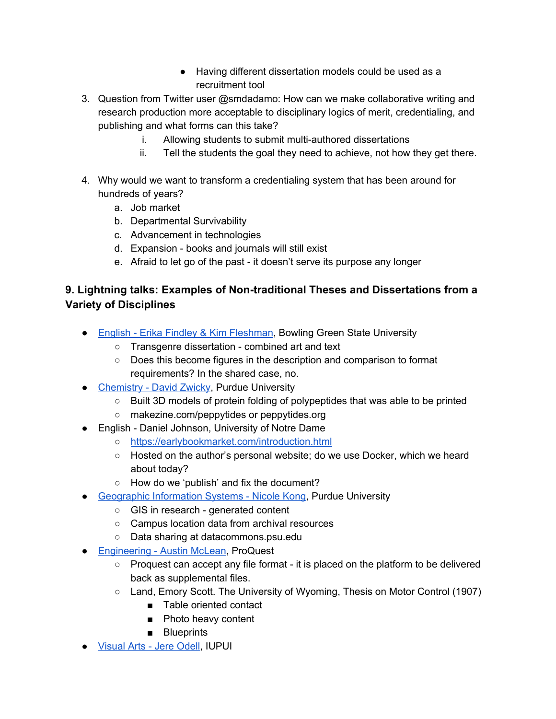- Having different dissertation models could be used as a recruitment tool
- 3. Question from Twitter user @smdadamo: How can we make collaborative writing and research production more acceptable to disciplinary logics of merit, credentialing, and publishing and what forms can this take?
	- i. Allowing students to submit multi-authored dissertations
	- ii. Tell the students the goal they need to achieve, not how they get there.
- 4. Why would we want to transform a credentialing system that has been around for hundreds of years?
	- a. Job market
	- b. Departmental Survivability
	- c. Advancement in technologies
	- d. Expansion books and journals will still exist
	- e. Afraid to let go of the past it doesn't serve its purpose any longer

#### **9. Lightning talks: Examples of Non-traditional Theses and Dissertations from a Variety of Disciplines**

- English Erika Findley & Kim [Fleshman](https://docs.lib.purdue.edu/etdgiantleaps/11/), Bowling Green State University
	- Transgenre dissertation combined art and text
	- Does this become figures in the description and comparison to format requirements? In the shared case, no.
- [Chemistry](https://docs.lib.purdue.edu/etdgiantleaps/9/) David Zwicky, Purdue University
	- Built 3D models of protein folding of polypeptides that was able to be printed
	- makezine.com/peppytides or peppytides.org
- English Daniel Johnson, University of Notre Dame
	- <https://earlybookmarket.com/introduction.html>
	- Hosted on the author's personal website; do we use Docker, which we heard about today?
	- How do we 'publish' and fix the document?
- [Geographic](https://docs.lib.purdue.edu/etdgiantleaps/7/) Information Systems Nicole Kong, Purdue University
	- GIS in research generated content
	- Campus location data from archival resources
	- Data sharing at datacommons.psu.edu
- [Engineering](https://docs.lib.purdue.edu/etdgiantleaps/6/) Austin McLean, ProQuest
	- Proquest can accept any file format it is placed on the platform to be delivered back as supplemental files.
	- Land, Emory Scott. The University of Wyoming, Thesis on Motor Control (1907)
		- Table oriented contact
		- Photo heavy content
		- Blueprints
- [Visual](https://docs.lib.purdue.edu/etdgiantleaps/5/) Arts Jere Odell, IUPUI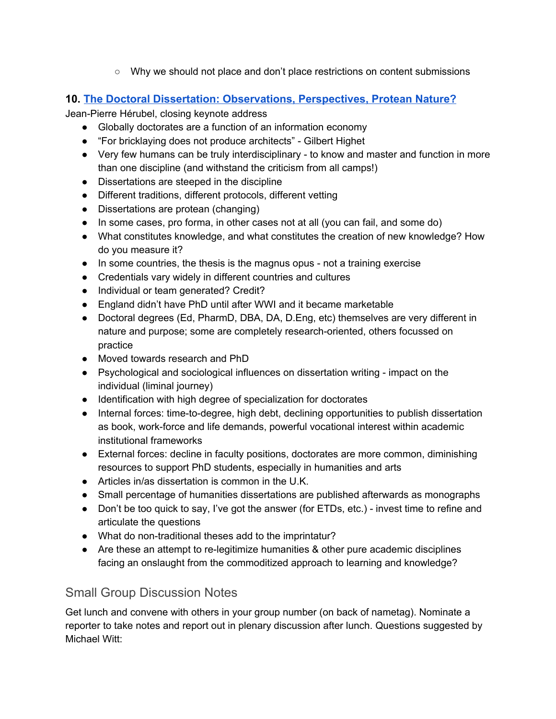○ Why we should not place and don't place restrictions on content submissions

#### **10. [The Doctoral Dissertation: Observations, Perspectives, Protean Nature?](https://docs.lib.purdue.edu/etdgiantleaps/10/)**

Jean-Pierre Hérubel, closing keynote address

- Globally doctorates are a function of an information economy
- "For bricklaying does not produce architects" Gilbert Highet
- Very few humans can be truly interdisciplinary to know and master and function in more than one discipline (and withstand the criticism from all camps!)
- Dissertations are steeped in the discipline
- Different traditions, different protocols, different vetting
- Dissertations are protean (changing)
- In some cases, pro forma, in other cases not at all (you can fail, and some do)
- What constitutes knowledge, and what constitutes the creation of new knowledge? How do you measure it?
- In some countries, the thesis is the magnus opus not a training exercise
- Credentials vary widely in different countries and cultures
- Individual or team generated? Credit?
- England didn't have PhD until after WWI and it became marketable
- Doctoral degrees (Ed, PharmD, DBA, DA, D.Eng, etc) themselves are very different in nature and purpose; some are completely research-oriented, others focussed on practice
- Moved towards research and PhD
- Psychological and sociological influences on dissertation writing impact on the individual (liminal journey)
- Identification with high degree of specialization for doctorates
- Internal forces: time-to-degree, high debt, declining opportunities to publish dissertation as book, work-force and life demands, powerful vocational interest within academic institutional frameworks
- External forces: decline in faculty positions, doctorates are more common, diminishing resources to support PhD students, especially in humanities and arts
- Articles in/as dissertation is common in the U.K.
- Small percentage of humanities dissertations are published afterwards as monographs
- Don't be too quick to say, I've got the answer (for ETDs, etc.) invest time to refine and articulate the questions
- What do non-traditional theses add to the imprintatur?
- Are these an attempt to re-legitimize humanities & other pure academic disciplines facing an onslaught from the commoditized approach to learning and knowledge?

#### Small Group Discussion Notes

Get lunch and convene with others in your group number (on back of nametag). Nominate a reporter to take notes and report out in plenary discussion after lunch. Questions suggested by Michael Witt: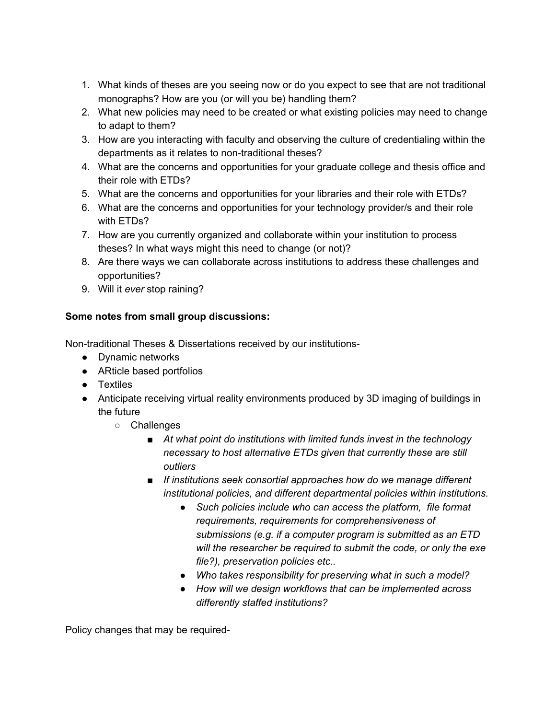- 1. What kinds of theses are you seeing now or do you expect to see that are not traditional monographs? How are you (or will you be) handling them?
- 2. What new policies may need to be created or what existing policies may need to change to adapt to them?
- 3. How are you interacting with faculty and observing the culture of credentialing within the departments as it relates to non-traditional theses?
- 4. What are the concerns and opportunities for your graduate college and thesis office and their role with ETDs?
- 5. What are the concerns and opportunities for your libraries and their role with ETDs?
- 6. What are the concerns and opportunities for your technology provider/s and their role with ETDs?
- 7. How are you currently organized and collaborate within your institution to process theses? In what ways might this need to change (or not)?
- 8. Are there ways we can collaborate across institutions to address these challenges and opportunities?
- 9. Will it *ever* stop raining?

#### **Some notes from small group discussions:**

Non-traditional Theses & Dissertations received by our institutions-

- Dynamic networks
- ARticle based portfolios
- Textiles
- Anticipate receiving virtual reality environments produced by 3D imaging of buildings in the future
	- Challenges
		- *■ At what point do institutions with limited funds invest in the technology necessary to host alternative ETDs given that currently these are still outliers*
		- *■ If institutions seek consortial approaches how do we manage different institutional policies, and different departmental policies within institutions.*
			- *● Such policies include who can access the platform, file format requirements, requirements for comprehensiveness of submissions (e.g. if a computer program is submitted as an ETD will the researcher be required to submit the code, or only the exe file?), preservation policies etc..*
			- *● Who takes responsibility for preserving what in such a model?*
			- *● How will we design workflows that can be implemented across differently staffed institutions?*

Policy changes that may be required-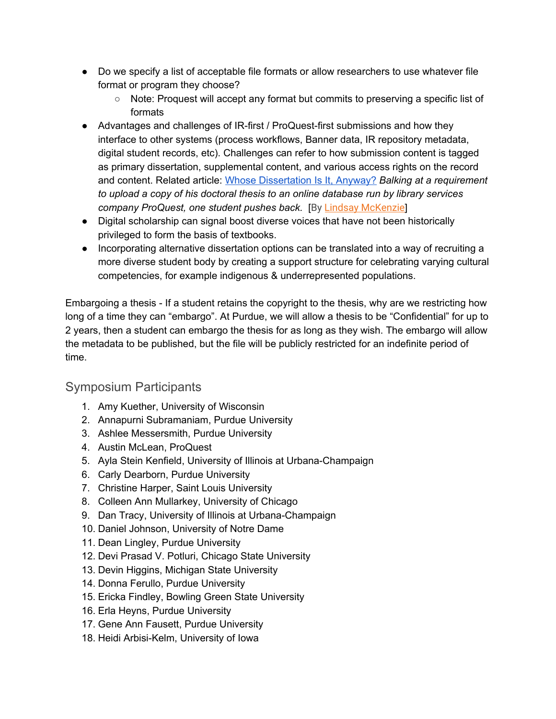- Do we specify a list of acceptable file formats or allow researchers to use whatever file format or program they choose?
	- Note: Proquest will accept any format but commits to preserving a specific list of formats
- Advantages and challenges of IR-first / ProQuest-first submissions and how they interface to other systems (process workflows, Banner data, IR repository metadata, digital student records, etc). Challenges can refer to how submission content is tagged as primary dissertation, supplemental content, and various access rights on the record and content. Related article: Whose [Dissertation](https://www.insidehighered.com/news/2019/05/23/rejecting-requirement-publish-dissertations-online) Is It, Anyway? *Balking at a requirement to upload a copy of his doctoral thesis to an online database run by library services company ProQuest, one student pushes back.* [By Lindsay [McKenzie](https://www.insidehighered.com/users/lindsay-mckenzie)]
- Digital scholarship can signal boost diverse voices that have not been historically privileged to form the basis of textbooks.
- Incorporating alternative dissertation options can be translated into a way of recruiting a more diverse student body by creating a support structure for celebrating varying cultural competencies, for example indigenous & underrepresented populations.

Embargoing a thesis - If a student retains the copyright to the thesis, why are we restricting how long of a time they can "embargo". At Purdue, we will allow a thesis to be "Confidential" for up to 2 years, then a student can embargo the thesis for as long as they wish. The embargo will allow the metadata to be published, but the file will be publicly restricted for an indefinite period of time.

#### Symposium Participants

- 1. Amy Kuether, University of Wisconsin
- 2. Annapurni Subramaniam, Purdue University
- 3. Ashlee Messersmith, Purdue University
- 4. Austin McLean, ProQuest
- 5. Ayla Stein Kenfield, University of Illinois at Urbana-Champaign
- 6. Carly Dearborn, Purdue University
- 7. Christine Harper, Saint Louis University
- 8. Colleen Ann Mullarkey, University of Chicago
- 9. Dan Tracy, University of Illinois at Urbana-Champaign
- 10. Daniel Johnson, University of Notre Dame
- 11. Dean Lingley, Purdue University
- 12. Devi Prasad V. Potluri, Chicago State University
- 13. Devin Higgins, Michigan State University
- 14. Donna Ferullo, Purdue University
- 15. Ericka Findley, Bowling Green State University
- 16. Erla Heyns, Purdue University
- 17. Gene Ann Fausett, Purdue University
- 18. Heidi Arbisi-Kelm, University of Iowa